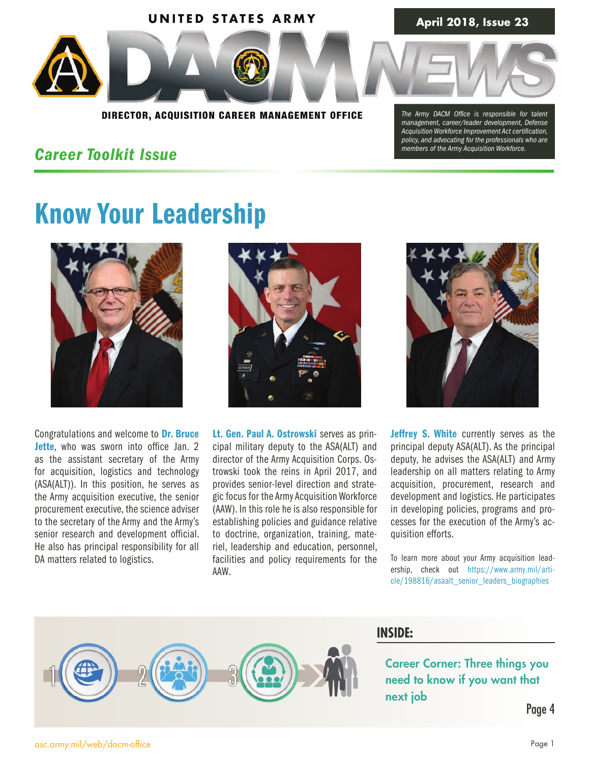

DIRECTOR, ACQUISITION CAREER MANAGEMENT OFFICE

### *Career Toolkit Issue*

*The Army DACM Office is responsible for talent management, career/leader development, Defense Acquisition Workforce Improvement Act certification, policy, and advocating for the professionals who are members of the Army Acquisition Workforce.* 

# Know Your Leadership



Congratulations and welcome to Dr. Bruce Jette, who was sworn into office Jan. 2 as the assistant secretary of the Army for acquisition, logistics and technology (ASA(ALT)). In this position, he serves as the Army acquisition executive, the senior procurement executive, the science adviser to the secretary of the Army and the Army's senior research and development official. He also has principal responsibility for all DA matters related to logistics.



Lt. Gen. Paul A. Ostrowski serves as principal military deputy to the ASA(ALT) and director of the Army Acquisition Corps. Ostrowski took the reins in April 2017, and provides senior-level direction and strategic focus for the Army Acquisition Workforce (AAW). In this role he is also responsible for establishing policies and guidance relative to doctrine, organization, training, materiel, leadership and education, personnel, facilities and policy requirements for the AAW.



Jeffrey S. White currently serves as the principal deputy ASA(ALT). As the principal deputy, he advises the ASA(ALT) and Army leadership on all matters relating to Army acquisition, procurement, research and development and logistics. He participates in developing policies, programs and processes for the execution of the Army's acquisition efforts.

To learn more about your Army acquisition leadership, check out https://www.army.mil/article/198816/asaalt\_senior\_leaders\_biographies



### **INSIDE:**

[Career Corner: Three things you](#page-3-0)  need to know if you want that next job

Page 4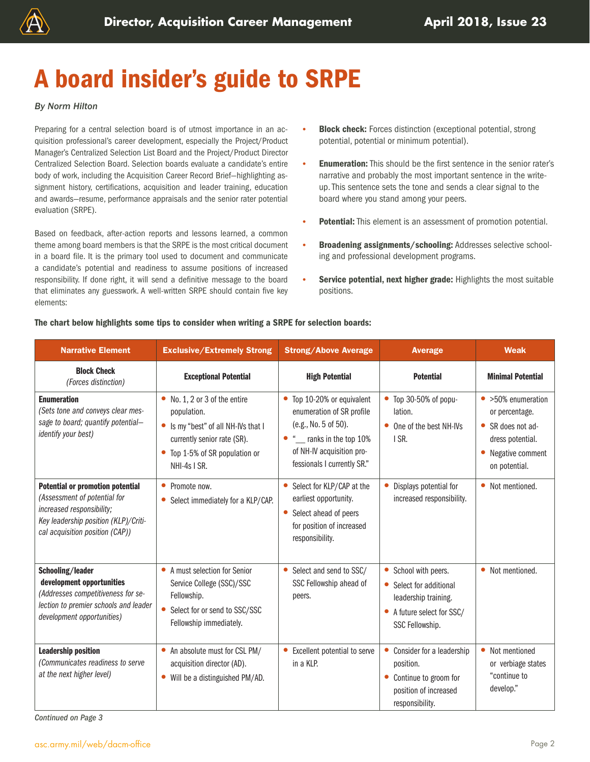

# A board insider's guide to SRPE

### *By Norm Hilton*

Preparing for a central selection board is of utmost importance in an acquisition professional's career development, especially the Project/Product Manager's Centralized Selection List Board and the Project/Product Director Centralized Selection Board. Selection boards evaluate a candidate's entire body of work, including the Acquisition Career Record Brief—highlighting assignment history, certifications, acquisition and leader training, education and awards—resume, performance appraisals and the senior rater potential evaluation (SRPE).

Based on feedback, after-action reports and lessons learned, a common theme among board members is that the SRPE is the most critical document in a board file. It is the primary tool used to document and communicate a candidate's potential and readiness to assume positions of increased responsibility. If done right, it will send a definitive message to the board that eliminates any guesswork. A well-written SRPE should contain five key elements:

- **Block check:** Forces distinction (exceptional potential, strong potential, potential or minimum potential).
- **Enumeration:** This should be the first sentence in the senior rater's narrative and probably the most important sentence in the writeup. This sentence sets the tone and sends a clear signal to the board where you stand among your peers.
- Potential: This element is an assessment of promotion potential.
- Broadening assignments/schooling: Addresses selective schooling and professional development programs.
- Service potential, next higher grade: Highlights the most suitable positions.

| <b>Narrative Element</b>                                                                                                                                                        | <b>Exclusive/Extremely Strong</b>                                                                                                                                                     | <b>Strong/Above Average</b>                                                                                                                                             | <b>Average</b>                                                                                                                               | <b>Weak</b>                                                                                                                  |
|---------------------------------------------------------------------------------------------------------------------------------------------------------------------------------|---------------------------------------------------------------------------------------------------------------------------------------------------------------------------------------|-------------------------------------------------------------------------------------------------------------------------------------------------------------------------|----------------------------------------------------------------------------------------------------------------------------------------------|------------------------------------------------------------------------------------------------------------------------------|
| <b>Block Check</b><br>(Forces distinction)                                                                                                                                      | <b>Exceptional Potential</b>                                                                                                                                                          | <b>High Potential</b>                                                                                                                                                   | <b>Potential</b>                                                                                                                             | <b>Minimal Potential</b>                                                                                                     |
| <b>Enumeration</b><br>(Sets tone and conveys clear mes-<br>sage to board; quantify potential-<br>identify your best)                                                            | $\bullet$ No. 1, 2 or 3 of the entire<br>population.<br>Is my "best" of all NH-IVs that I<br>$\bullet$<br>currently senior rate (SR).<br>Top 1-5% of SR population or<br>NHI-4s I SR. | • Top 10-20% or equivalent<br>enumeration of SR profile<br>(e.g., No. 5 of 50).<br>• " ranks in the top 10%<br>of NH-IV acquisition pro-<br>fessionals I currently SR." | • Top 30-50% of popu-<br>lation.<br>• One of the best NH-IVs<br>I SR.                                                                        | $\bullet$ >50% enumeration<br>or percentage.<br>• SR does not ad-<br>dress potential.<br>• Negative comment<br>on potential. |
| <b>Potential or promotion potential</b><br>(Assessment of potential for<br>increased responsibility;<br>Key leadership position (KLP)/Criti-<br>cal acquisition position (CAP)) | Promote now.<br>$\bullet$<br>Select immediately for a KLP/CAP.<br>$\bullet$                                                                                                           | Select for KLP/CAP at the<br>earliest opportunity.<br>Select ahead of peers<br>for position of increased<br>responsibility.                                             | Displays potential for<br>$\bullet$<br>increased responsibility.                                                                             | • Not mentioned.                                                                                                             |
| Schooling/leader<br>development opportunities<br>(Addresses competitiveness for se-<br>lection to premier schools and leader<br>development opportunities)                      | A must selection for Senior<br>Service College (SSC)/SSC<br>Fellowship.<br>$\bullet$<br>Select for or send to SSC/SSC<br>Fellowship immediately.                                      | Select and send to SSC/<br>SSC Fellowship ahead of<br>peers.                                                                                                            | School with peers.<br>$\bullet$<br>Select for additional<br>leadership training.<br>A future select for SSC/<br>$\bullet$<br>SSC Fellowship. | • Not mentioned.                                                                                                             |
| <b>Leadership position</b><br>(Communicates readiness to serve<br>at the next higher level)                                                                                     | An absolute must for CSL PM/<br>acquisition director (AD).<br>Will be a distinguished PM/AD.<br>$\bullet$                                                                             | Excellent potential to serve<br>in a KLP.                                                                                                                               | Consider for a leadership<br>$\bullet$<br>position.<br>Continue to groom for<br>$\bullet$<br>position of increased<br>responsibility.        | • Not mentioned<br>or verbiage states<br>"continue to<br>develop."                                                           |

### The chart below highlights some tips to consider when writing a SRPE for selection boards:

*Continued on Page 3*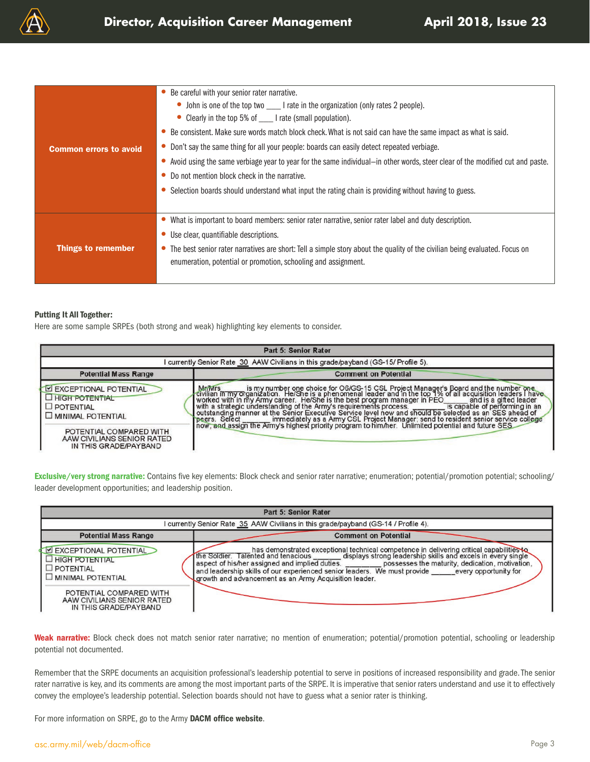

| <b>Common errors to avoid</b> | Be careful with your senior rater narrative.<br>• John is one of the top two _______I rate in the organization (only rates 2 people).<br>• Clearly in the top 5% of ______ I rate (small population).<br>Be consistent. Make sure words match block check. What is not said can have the same impact as what is said.<br>Don't say the same thing for all your people: boards can easily detect repeated verbiage.<br>Avoid using the same verbiage year to year for the same individual-in other words, steer clear of the modified cut and paste.<br>Do not mention block check in the narrative.<br>Selection boards should understand what input the rating chain is providing without having to guess. |
|-------------------------------|-------------------------------------------------------------------------------------------------------------------------------------------------------------------------------------------------------------------------------------------------------------------------------------------------------------------------------------------------------------------------------------------------------------------------------------------------------------------------------------------------------------------------------------------------------------------------------------------------------------------------------------------------------------------------------------------------------------|
| <b>Things to remember</b>     | What is important to board members: senior rater narrative, senior rater label and duty description.<br>Use clear, quantifiable descriptions.<br>The best senior rater narratives are short: Tell a simple story about the quality of the civilian being evaluated. Focus on<br>enumeration, potential or promotion, schooling and assignment.                                                                                                                                                                                                                                                                                                                                                              |

#### Putting It All Together:

Here are some sample SRPEs (both strong and weak) highlighting key elements to consider.

|                                                                                            | Part 5: Senior Rater                                                                                                                                                                                                                                                                                                                                                                                                                                                                                                                                     |
|--------------------------------------------------------------------------------------------|----------------------------------------------------------------------------------------------------------------------------------------------------------------------------------------------------------------------------------------------------------------------------------------------------------------------------------------------------------------------------------------------------------------------------------------------------------------------------------------------------------------------------------------------------------|
|                                                                                            | I currently Senior Rate 30 AAW Civilians in this grade/payband (GS-15/ Profile 5).                                                                                                                                                                                                                                                                                                                                                                                                                                                                       |
| <b>Potential Mass Range</b>                                                                | <b>Comment on Potential</b>                                                                                                                                                                                                                                                                                                                                                                                                                                                                                                                              |
| EXCEPTIONAL POTENTIAL<br><b>HIGH POTENTIAL</b><br>$\square$ POTENTIAL<br>MINIMAL POTENTIAL | Mentrs is my number one choice for O6/GS-15 CSL Project Manager's Board and the number one<br>civilian in my organization. He/She is a phenomenal leader and in the top 1% of all acquisition leaders I have<br>worked with in my Army career. He/She is the best program manager in PEO<br>with a strategic understanding of the Army's requirements process.<br>outstanding manner at the Senior Executive Service level now and should be selecte<br>peers. Select immediately as a Army CSL Project Manager; send to resident senior service college |
| POTENTIAL COMPARED WITH<br>AAW CIVILIANS SENIOR RATED<br>IN THIS GRADE/PAYBAND             | now, and assign the Army's highest priority program to him/her. Unlimited potential and future SES.                                                                                                                                                                                                                                                                                                                                                                                                                                                      |

Exclusive/very strong narrative: Contains five key elements: Block check and senior rater narrative; enumeration; potential/promotion potential; schooling/ leader development opportunities; and leadership position.

| Part 5: Senior Rater                                                                                                                                                            |                                                                                                                                                                                                                                                                                                                                                                                                                                                                                |  |  |  |
|---------------------------------------------------------------------------------------------------------------------------------------------------------------------------------|--------------------------------------------------------------------------------------------------------------------------------------------------------------------------------------------------------------------------------------------------------------------------------------------------------------------------------------------------------------------------------------------------------------------------------------------------------------------------------|--|--|--|
|                                                                                                                                                                                 | I currently Senior Rate 35 AAW Civilians in this grade/payband (GS-14 / Profile 4).                                                                                                                                                                                                                                                                                                                                                                                            |  |  |  |
| <b>Potential Mass Range</b>                                                                                                                                                     | <b>Comment on Potential</b>                                                                                                                                                                                                                                                                                                                                                                                                                                                    |  |  |  |
| EXCEPTIONAL POTENTIAL<br>HIGH POTENTIAL<br>$\square$ POTENTIAL<br><b>LI MINIMAL POTENTIAL</b><br>POTENTIAL COMPARED WITH<br>AAW CIVILIANS SENIOR RATED<br>IN THIS GRADE/PAYBAND | has demonstrated exceptional technical competence in delivering critical capabilities to the Soldier. Talented and tenacious ______ displays strong leadership skills and excels in every single<br>aspect of his/her assigned and implied duties. _________ possesses the maturity, dedication, motivation,<br>and leadership skills of our experienced senior leaders. We must provide ______ every opportunity for<br>growth and advancement as an Army Acquisition leader. |  |  |  |

Weak narrative: Block check does not match senior rater narrative; no mention of enumeration; potential/promotion potential, schooling or leadership potential not documented.

Remember that the SRPE documents an acquisition professional's leadership potential to serve in positions of increased responsibility and grade. The senior rater narrative is key, and its comments are among the most important parts of the SRPE. It is imperative that senior raters understand and use it to effectively convey the employee's leadership potential. Selection boards should not have to guess what a senior rater is thinking.

For more information on SRPE, go to the Army [DACM office website](https://asc.army.mil/web/senior-rater-potential-evaluation/).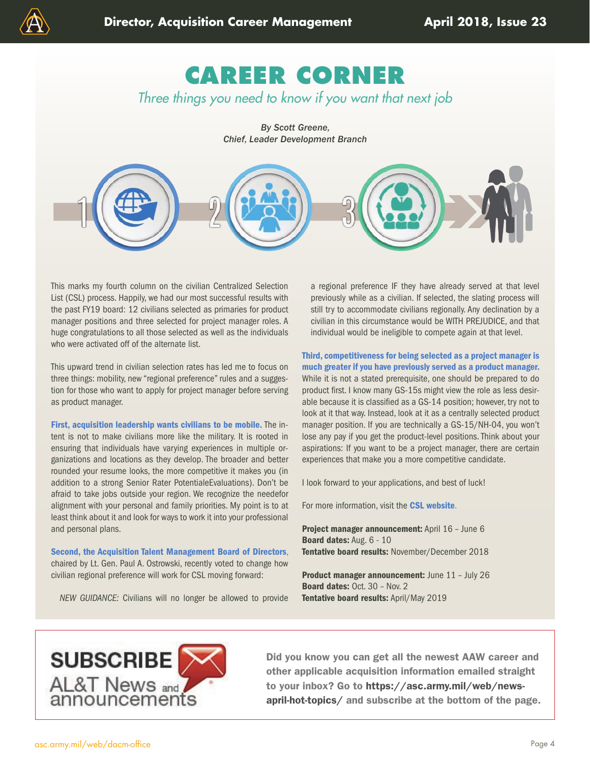<span id="page-3-0"></span>

*By Scott Greene, Chief, Leader Development Branch*



This marks my fourth column on the civilian Centralized Selection List (CSL) process. Happily, we had our most successful results with the past FY19 board: 12 civilians selected as primaries for product manager positions and three selected for project manager roles. A huge congratulations to all those selected as well as the individuals who were activated off of the alternate list.

This upward trend in civilian selection rates has led me to focus on three things: mobility, new "regional preference" rules and a suggestion for those who want to apply for project manager before serving as product manager.

First, acquisition leadership wants civilians to be mobile. The intent is not to make civilians more like the military. It is rooted in ensuring that individuals have varying experiences in multiple organizations and locations as they develop. The broader and better rounded your resume looks, the more competitive it makes you (in addition to a strong Senior Rater PotentialeEvaluations). Don't be afraid to take jobs outside your region. We recognize the needefor alignment with your personal and family priorities. My point is to at least think about it and look for ways to work it into your professional and personal plans.

Second, the Acquisition Talent Management Board of Directors, chaired by Lt. Gen. Paul A. Ostrowski, recently voted to change how civilian regional preference will work for CSL moving forward:

*NEW GUIDANCE:* Civilians will no longer be allowed to provide

a regional preference IF they have already served at that level previously while as a civilian. If selected, the slating process will still try to accommodate civilians regionally. Any declination by a civilian in this circumstance would be WITH PREJUDICE, and that individual would be ineligible to compete again at that level.

Third, competitiveness for being selected as a project manager is much greater if you have previously served as a product manager. While it is not a stated prerequisite, one should be prepared to do product first. I know many GS-15s might view the role as less desirable because it is classified as a GS-14 position; however, try not to look at it that way. Instead, look at it as a centrally selected product manager position. If you are technically a GS-15/NH-04, you won't lose any pay if you get the product-level positions. Think about your aspirations: If you want to be a project manager, there are certain experiences that make you a more competitive candidate.

I look forward to your applications, and best of luck!

For more information, visit the [CSL website](https://asc.army.mil/web/centralized-selection-list/).

Project manager announcement: April 16 - June 6 Board dates: Aug. 6 - 10 Tentative board results: November/December 2018

Product manager announcement: June 11 - July 26 Board dates: Oct. 30 – Nov. 2 Tentative board results: April/May 2019



Did you know you can get all the newest AAW career and other applicable acquisition information emailed straight to your inbox? Go to [https://asc.army.mil/web/news](https://asc.army.mil/web/news-april-hot-topics/)[april-hot-topics/](https://asc.army.mil/web/news-april-hot-topics/) and subscribe at the bottom of the page.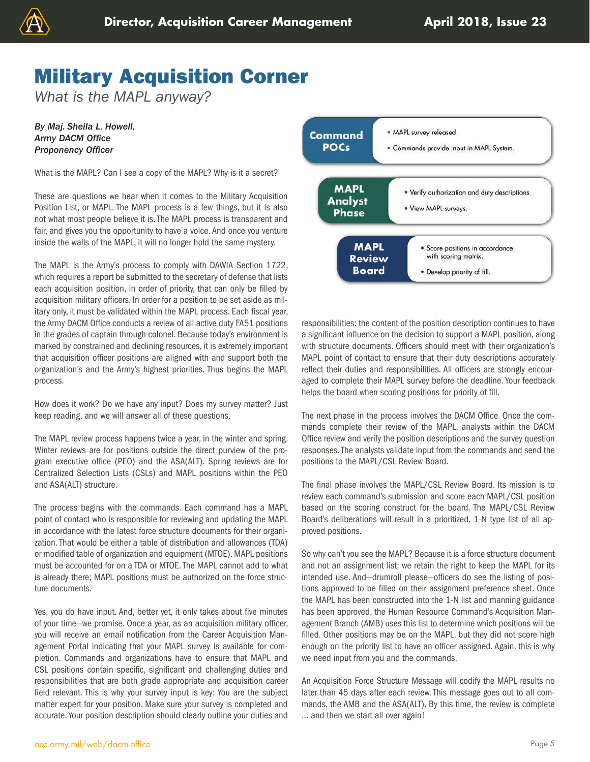

## Military Acquisition Corner

*What is the MAPL anyway?*

*By Maj. Sheila L. Howell, Army DACM Office Proponency Officer*

What is the MAPL? Can I see a copy of the MAPL? Why is it a secret?

These are questions we hear when it comes to the Military Acquisition Position List, or MAPL. The MAPL process is a few things, but it is also not what most people believe it is. The MAPL process is transparent and fair, and gives you the opportunity to have a voice. And once you venture inside the walls of the MAPL, it will no longer hold the same mystery.

The MAPL is the Army's process to comply with DAWIA Section 1722, which requires a report be submitted to the secretary of defense that lists each acquisition position, in order of priority, that can only be filled by acquisition military officers. In order for a position to be set aside as military only, it must be validated within the MAPL process. Each fiscal year, the Army DACM Office conducts a review of all active duty FA51 positions in the grades of captain through colonel. Because today's environment is marked by constrained and declining resources, it is extremely important that acquisition officer positions are aligned with and support both the organization's and the Army's highest priorities. Thus begins the MAPL process.

How does it work? Do we have any input? Does my survey matter? Just keep reading, and we will answer all of these questions.

The MAPL review process happens twice a year, in the winter and spring. Winter reviews are for positions outside the direct purview of the program executive office (PEO) and the ASA(ALT). Spring reviews are for Centralized Selection Lists (CSLs) and MAPL positions within the PEO and ASA(ALT) structure.

The process begins with the commands. Each command has a MAPL point of contact who is responsible for reviewing and updating the MAPL in accordance with the latest force structure documents for their organization. That would be either a table of distribution and allowances (TDA) or modified table of organization and equipment (MTOE). MAPL positions must be accounted for on a TDA or MTOE. The MAPL cannot add to what is already there; MAPL positions must be authorized on the force structure documents.

Yes, you do have input. And, better yet, it only takes about five minutes of your time—we promise. Once a year, as an acquisition military officer, you will receive an email notification from the Career Acquisition Management Portal indicating that your MAPL survey is available for completion. Commands and organizations have to ensure that MAPL and CSL positions contain specific, significant and challenging duties and responsibilities that are both grade appropriate and acquisition career field relevant. This is why your survey input is key: You are the subject matter expert for your position. Make sure your survey is completed and accurate. Your position description should clearly outline your duties and



responsibilities; the content of the position description continues to have a significant influence on the decision to support a MAPL position, along with structure documents. Officers should meet with their organization's MAPL point of contact to ensure that their duty descriptions accurately reflect their duties and responsibilities. All officers are strongly encouraged to complete their MAPL survey before the deadline. Your feedback helps the board when scoring positions for priority of fill.

The next phase in the process involves the DACM Office. Once the commands complete their review of the MAPL, analysts within the DACM Office review and verify the position descriptions and the survey question responses. The analysts validate input from the commands and send the positions to the MAPL/CSL Review Board.

The final phase involves the MAPL/CSL Review Board. Its mission is to review each command's submission and score each MAPL/CSL position based on the scoring construct for the board. The MAPL/CSL Review Board's deliberations will result in a prioritized, 1-N type list of all approved positions.

So why can't you see the MAPL? Because it is a force structure document and not an assignment list; we retain the right to keep the MAPL for its intended use. And—drumroll please—officers do see the listing of positions approved to be filled on their assignment preference sheet. Once the MAPL has been constructed into the 1-N list and manning guidance has been approved, the Human Resource Command's Acquisition Management Branch (AMB) uses this list to determine which positions will be filled. Other positions may be on the MAPL, but they did not score high enough on the priority list to have an officer assigned. Again, this is why we need input from you and the commands.

An Acquisition Force Structure Message will codify the MAPL results no later than 45 days after each review. This message goes out to all commands, the AMB and the ASA(ALT). By this time, the review is complete … and then we start all over again!